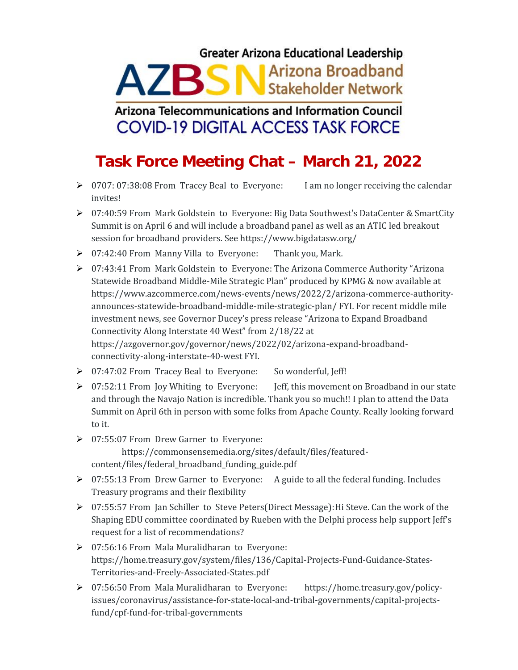## **Greater Arizona Educational Leadership** AZBSN<sup>Arizona</sup> Broadband

## **Arizona Telecommunications and Information Council COVID-19 DIGITAL ACCESS TASK FORCE**

## **Task Force Meeting Chat – March 21, 2022**

- ▶ 0707: 07:38:08 From Tracey Beal to Everyone: I am no longer receiving the calendar invites!
- 07:40:59 From Mark Goldstein to Everyone: Big Data Southwest's DataCenter & SmartCity Summit is on April 6 and will include a broadband panel as well as an ATIC led breakout session for broadband providers. See https://www.bigdatasw.org/
- 07:42:40 From Manny Villa to Everyone: Thank you, Mark.
- 07:43:41 From Mark Goldstein to Everyone: The Arizona Commerce Authority "Arizona Statewide Broadband Middle-Mile Strategic Plan" produced by KPMG & now available at https://www.azcommerce.com/news-events/news/2022/2/arizona-commerce-authority announces-statewide-broadband-middle-mile-strategic-plan/ FYI. For recent middle mile investment news, see Governor Ducey's press release "Arizona to Expand Broadband Connectivity Along Interstate 40 West" from 2/18/22 at https://azgovernor.gov/governor/news/2022/02/arizona-expand-broadband connectivity-along-interstate-40-west FYI.
- 07:47:02 From Tracey Beal to Everyone: So wonderful, Jeff!
- ▶ 07:52:11 From Joy Whiting to Everyone: Jeff, this movement on Broadband in our state and through the Navajo Nation is incredible. Thank you so much!! I plan to attend the Data Summit on April 6th in person with some folks from Apache County. Really looking forward to it.
- 07:55:07 From Drew Garner to Everyone: https://commonsensemedia.org/sites/default/files/featured content/files/federal\_broadband\_funding\_guide.pdf
- 07:55:13 From Drew Garner to Everyone: A guide to all the federal funding. Includes Treasury programs and their flexibility
- 07:55:57 From Jan Schiller to Steve Peters(Direct Message):Hi Steve. Can the work of the Shaping EDU committee coordinated by Rueben with the Delphi process help support Jeff's request for a list of recommendations?
- 07:56:16 From Mala Muralidharan to Everyone: https://home.treasury.gov/system/files/136/Capital-Projects-Fund-Guidance-States- Territories-and-Freely-Associated-States.pdf
- 07:56:50 From Mala Muralidharan to Everyone: https://home.treasury.gov/policyissues/coronavirus/assistance-for-state-local-and-tribal-governments/capital-projectsfund/cpf-fund-for-tribal-governments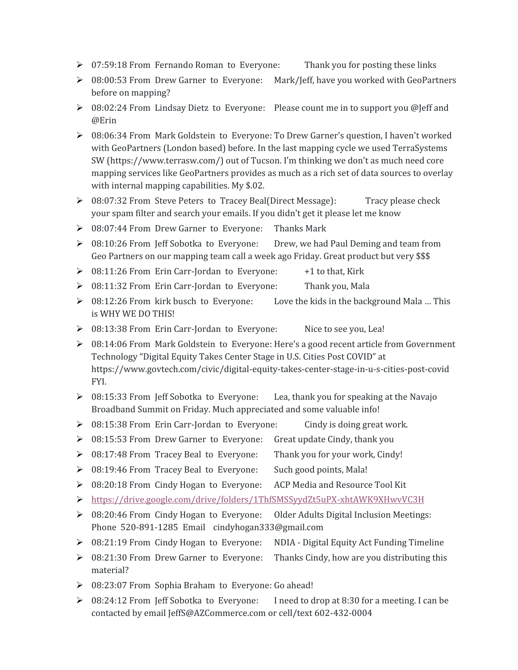- ▶ 07:59:18 From Fernando Roman to Everyone: Thank you for posting these links
- $\triangleright$  08:00:53 From Drew Garner to Everyone: Mark/Jeff, have you worked with GeoPartners before on mapping?
- $\triangleright$  08:02:24 From Lindsay Dietz to Everyone: Please count me in to support you @Jeff and @Erin
- 08:06:34 From Mark Goldstein to Everyone: To Drew Garner's question, I haven't worked with GeoPartners (London based) before. In the last mapping cycle we used TerraSystems SW (https://www.terrasw.com/) out of Tucson. I'm thinking we don't as much need core mapping services like GeoPartners provides as much as a rich set of data sources to overlay with internal mapping capabilities. My \$.02.
- $\geq 08:07:32$  From Steve Peters to Tracey Beal(Direct Message): Tracy please check your spam filter and search your emails. If you didn't get it please let me know
- ▶ 08:07:44 From Drew Garner to Everyone: Thanks Mark
- $\geq 08:10:26$  From Jeff Sobotka to Everyone: Drew, we had Paul Deming and team from Geo Partners on our mapping team call a week ago Friday. Great product but very \$\$\$
- $\geq 08:11:26$  From Erin Carr-Jordan to Everyone:  $+1$  to that, Kirk
- > 08:11:32 From Erin Carr-Jordan to Everyone: Thank you, Mala
- $\geq 08:12:26$  From kirk busch to Everyone: Love the kids in the background Mala ... This is WHY WE DO THIS!
- 08:13:38 From Erin Carr-Jordan to Everyone: Nice to see you, Lea!
- ▶ 08:14:06 From Mark Goldstein to Everyone: Here's a good recent article from Government Technology "Digital Equity Takes Center Stage in U.S. Cities Post COVID" at https://www.govtech.com/civic/digital-equity-takes-center-stage-in-u-s-cities-post-covid FYI.
- $\geq 08:15:33$  From Jeff Sobotka to Everyone: Lea, thank you for speaking at the Navajo Broadband Summit on Friday. Much appreciated and some valuable info!
- $\geq 08:15:38$  From Erin Carr-Jordan to Everyone: Cindy is doing great work.
- $\triangleright$  08:15:53 From Drew Garner to Everyone: Great update Cindy, thank you
- 08:17:48 From Tracey Beal to Everyone: Thank you for your work, Cindy!
- 08:19:46 From Tracey Beal to Everyone: Such good points, Mala!
- ▶ 08:20:18 From Cindy Hogan to Everyone: ACP Media and Resource Tool Kit
- https://drive.google.com/drive/folders/1ThfSMSSyydZt5uPX-xhtAWK9XHwvVC3H
- $\geq 08:20:46$  From Cindy Hogan to Everyone: Older Adults Digital Inclusion Meetings: Phone 520-891-1285 Email cindyhogan333@gmail.com
- $\triangleright$  08:21:19 From Cindy Hogan to Everyone: NDIA Digital Equity Act Funding Timeline
- ▶ 08:21:30 From Drew Garner to Everyone: Thanks Cindy, how are you distributing this material?
- ▶ 08:23:07 From Sophia Braham to Everyone: Go ahead!
- ▶ 08:24:12 From Jeff Sobotka to Everyone: I need to drop at 8:30 for a meeting. I can be contacted by email JeffS@AZCommerce.com or cell/text 602-432-0004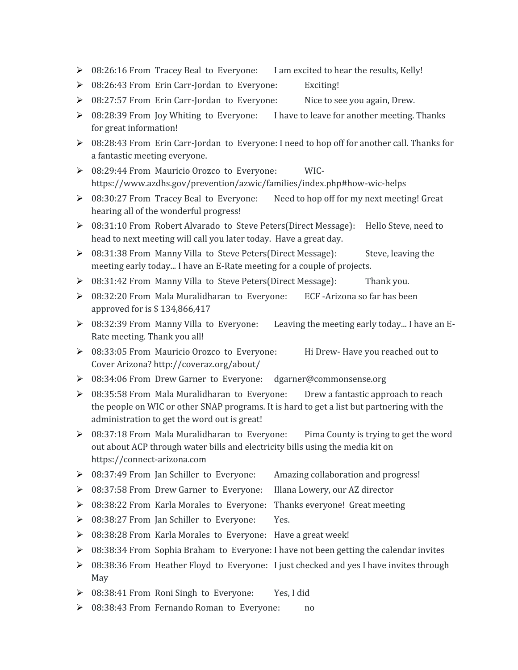- $\triangleright$  08:26:16 From Tracey Beal to Everyone: I am excited to hear the results, Kelly!
- ▶ 08:26:43 From Erin Carr-Jordan to Everyone: Exciting!
- $\triangleright$  08:27:57 From Erin Carr-Jordan to Everyone: Nice to see you again, Drew.
- $\triangleright$  08:28:39 From Joy Whiting to Everyone: I have to leave for another meeting. Thanks for great information!
- 08:28:43 From Erin Carr-Jordan to Everyone: I need to hop off for another call. Thanks for a fantastic meeting everyone.
- 08:29:44 From Mauricio Orozco to Everyone: WIC https://www.azdhs.gov/prevention/azwic/families/index.php#how-wic-helps
- $\geq 08:30:27$  From Tracey Beal to Everyone: Need to hop off for my next meeting! Great hearing all of the wonderful progress!
- 08:31:10 From Robert Alvarado to Steve Peters(Direct Message): Hello Steve, need to head to next meeting will call you later today. Have a great day.
- ▶ 08:31:38 From Manny Villa to Steve Peters(Direct Message): Steve, leaving the meeting early today... I have an E-Rate meeting for a couple of projects.
- $\triangleright$  08:31:42 From Manny Villa to Steve Peters(Direct Message): Thank you.
- $\triangleright$  08:32:20 From Mala Muralidharan to Everyone: ECF -Arizona so far has been approved for is \$ 134,866,417
- 08:32:39 From Manny Villa to Everyone: Leaving the meeting early today... I have an E- Rate meeting. Thank you all!
- ▶ 08:33:05 From Mauricio Orozco to Everyone: Hi Drew- Have you reached out to Cover Arizona? http://coveraz.org/about/
- 08:34:06 From Drew Garner to Everyone: dgarner@commonsense.org
- $\geq 08:35:58$  From Mala Muralidharan to Everyone: Drew a fantastic approach to reach the people on WIC or other SNAP programs. It is hard to get a list but partnering with the administration to get the word out is great!
- $\triangleright$  08:37:18 From Mala Muralidharan to Everyone: Pima County is trying to get the word out about ACP through water bills and electricity bills using the media kit on https://connect-arizona.com
- 08:37:49 From Jan Schiller to Everyone: Amazing collaboration and progress!
- 08:37:58 From Drew Garner to Everyone: Illana Lowery, our AZ director
- $\triangleright$  08:38:22 From Karla Morales to Everyone: Thanks everyone! Great meeting
- ▶ 08:38:27 From Jan Schiller to Everyone: Yes.
- ▶ 08:38:28 From Karla Morales to Everyone: Have a great week!
- $\triangleright$  08:38:34 From Sophia Braham to Everyone: I have not been getting the calendar invites
- ▶ 08:38:36 From Heather Floyd to Everyone: I just checked and yes I have invites through May
- ▶ 08:38:41 From Roni Singh to Everyone: Yes, I did
- ▶ 08:38:43 From Fernando Roman to Everyone: no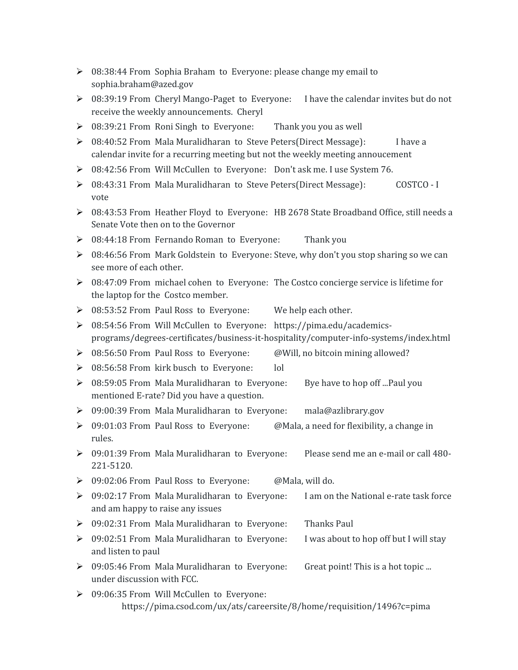- 08:38:44 From Sophia Braham to Everyone: please change my email to sophia.braham@azed.gov
- $\triangleright$  08:39:19 From Cheryl Mango-Paget to Everyone: I have the calendar invites but do not receive the weekly announcements. Cheryl
- ▶ 08:39:21 From Roni Singh to Everyone: Thank you you as well
- $\geq 08:40:52$  From Mala Muralidharan to Steve Peters(Direct Message): I have a calendar invite for a recurring meeting but not the weekly meeting annoucement
- 08:42:56 From Will McCullen to Everyone: Don't ask me. I use System 76.
- 08:43:31 From Mala Muralidharan to Steve Peters(Direct Message): COSTCO I vote
- 08:43:53 From Heather Floyd to Everyone: HB 2678 State Broadband Office, still needs a Senate Vote then on to the Governor
- 08:44:18 From Fernando Roman to Everyone: Thank you
- ▶ 08:46:56 From Mark Goldstein to Everyone: Steve, why don't you stop sharing so we can see more of each other.
- ▶ 08:47:09 From michael cohen to Everyone: The Costco concierge service is lifetime for the laptop for the Costco member.
- ▶ 08:53:52 From Paul Ross to Everyone: We help each other.
- 08:54:56 From Will McCullen to Everyone: https://pima.edu/academics programs/degrees-certificates/business-it-hospitality/computer-info-systems/index.html
- $\triangleright$  08:56:50 From Paul Ross to Everyone: @Will, no bitcoin mining allowed?
- ▶ 08:56:58 From kirk busch to Everyone: lol
- $\triangleright$  08:59:05 From Mala Muralidharan to Everyone: Bye have to hop off ...Paul you mentioned E-rate? Did you have a question.
- 09:00:39 From Mala Muralidharan to Everyone: mala@azlibrary.gov
- $\triangleright$  09:01:03 From Paul Ross to Everyone: @Mala, a need for flexibility, a change in rules.
- 09:01:39 From Mala Muralidharan to Everyone: Please send me an e-mail or call 480- 221-5120.
- ▶ 09:02:06 From Paul Ross to Everyone: @Mala, will do.
- $\triangleright$  09:02:17 From Mala Muralidharan to Everyone: I am on the National e-rate task force and am happy to raise any issues
- 09:02:31 From Mala Muralidharan to Everyone: Thanks Paul
- ▶ 09:02:51 From Mala Muralidharan to Everyone: I was about to hop off but I will stay and listen to paul
- ▶ 09:05:46 From Mala Muralidharan to Everyone: Great point! This is a hot topic ... under discussion with FCC.
- $\geq$  09:06:35 From Will McCullen to Everyone: https://pima.csod.com/ux/ats/careersite/8/home/requisition/1496?c=pima